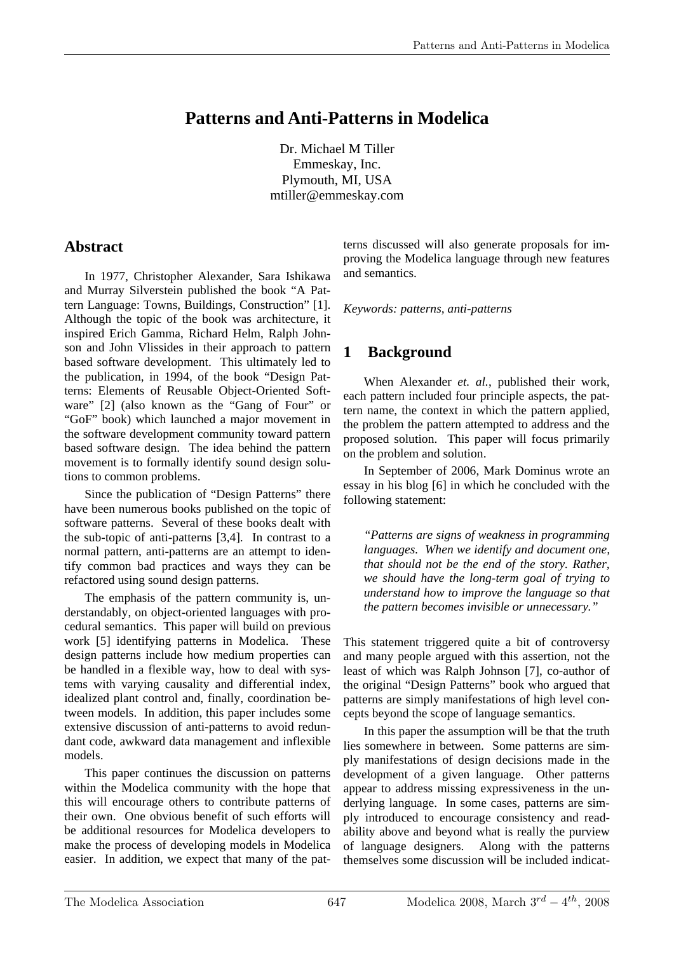# **Patterns and Anti-Patterns in Modelica**

Dr. Michael M Tiller Emmeskay, Inc. Plymouth, MI, USA mtiller@emmeskay.com

## **Abstract**

In 1977, Christopher Alexander, Sara Ishikawa and Murray Silverstein published the book "A Pattern Language: Towns, Buildings, Construction" [1]. Although the topic of the book was architecture, it inspired Erich Gamma, Richard Helm, Ralph Johnson and John Vlissides in their approach to pattern based software development. This ultimately led to the publication, in 1994, of the book "Design Patterns: Elements of Reusable Object-Oriented Software" [2] (also known as the "Gang of Four" or "GoF" book) which launched a major movement in the software development community toward pattern based software design. The idea behind the pattern movement is to formally identify sound design solutions to common problems.

Since the publication of "Design Patterns" there have been numerous books published on the topic of software patterns. Several of these books dealt with the sub-topic of anti-patterns [3,4]. In contrast to a normal pattern, anti-patterns are an attempt to identify common bad practices and ways they can be refactored using sound design patterns.

The emphasis of the pattern community is, understandably, on object-oriented languages with procedural semantics. This paper will build on previous work [5] identifying patterns in Modelica. These design patterns include how medium properties can be handled in a flexible way, how to deal with systems with varying causality and differential index, idealized plant control and, finally, coordination between models. In addition, this paper includes some extensive discussion of anti-patterns to avoid redundant code, awkward data management and inflexible models.

This paper continues the discussion on patterns within the Modelica community with the hope that this will encourage others to contribute patterns of their own. One obvious benefit of such efforts will be additional resources for Modelica developers to make the process of developing models in Modelica easier. In addition, we expect that many of the pat-

terns discussed will also generate proposals for improving the Modelica language through new features and semantics.

*Keywords: patterns, anti-patterns* 

# **1 Background**

When Alexander *et. al.*, published their work, each pattern included four principle aspects, the pattern name, the context in which the pattern applied, the problem the pattern attempted to address and the proposed solution. This paper will focus primarily on the problem and solution.

In September of 2006, Mark Dominus wrote an essay in his blog [6] in which he concluded with the following statement:

*"Patterns are signs of weakness in programming languages. When we identify and document one, that should not be the end of the story. Rather, we should have the long-term goal of trying to understand how to improve the language so that the pattern becomes invisible or unnecessary."* 

This statement triggered quite a bit of controversy and many people argued with this assertion, not the least of which was Ralph Johnson [7], co-author of the original "Design Patterns" book who argued that patterns are simply manifestations of high level concepts beyond the scope of language semantics.

In this paper the assumption will be that the truth lies somewhere in between. Some patterns are simply manifestations of design decisions made in the development of a given language. Other patterns appear to address missing expressiveness in the underlying language. In some cases, patterns are simply introduced to encourage consistency and readability above and beyond what is really the purview of language designers. Along with the patterns themselves some discussion will be included indicat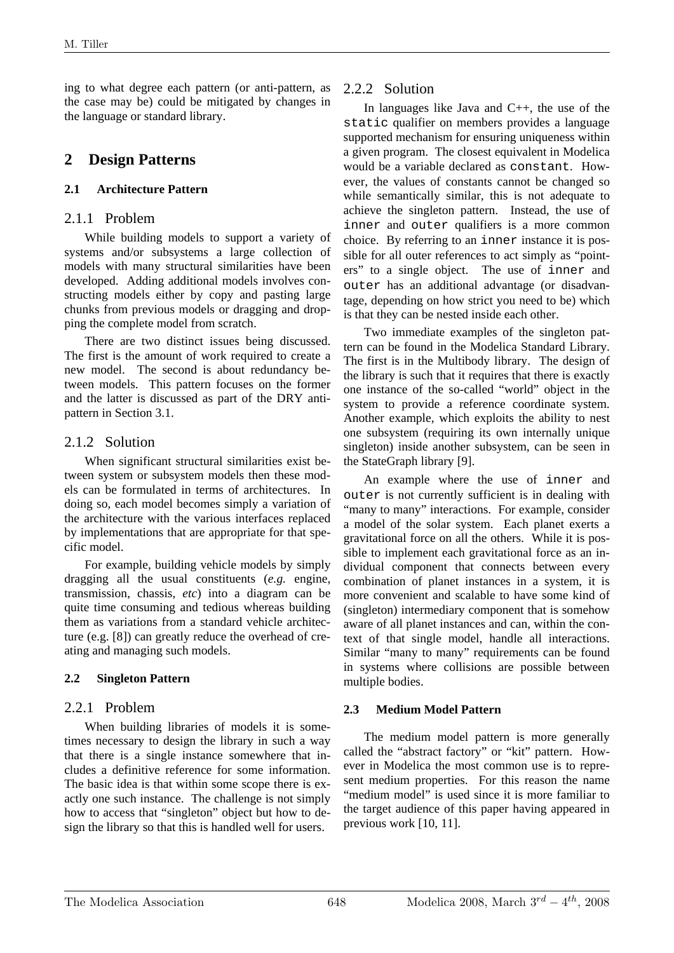ing to what degree each pattern (or anti-pattern, as the case may be) could be mitigated by changes in the language or standard library.

## **2 Design Patterns**

#### **2.1 Architecture Pattern**

#### 2.1.1 Problem

While building models to support a variety of systems and/or subsystems a large collection of models with many structural similarities have been developed. Adding additional models involves constructing models either by copy and pasting large chunks from previous models or dragging and dropping the complete model from scratch.

There are two distinct issues being discussed. The first is the amount of work required to create a new model. The second is about redundancy between models. This pattern focuses on the former and the latter is discussed as part of the DRY antipattern in Section 3.1.

### 2.1.2 Solution

When significant structural similarities exist between system or subsystem models then these models can be formulated in terms of architectures. In doing so, each model becomes simply a variation of the architecture with the various interfaces replaced by implementations that are appropriate for that specific model.

For example, building vehicle models by simply dragging all the usual constituents (*e.g.* engine, transmission, chassis, *etc*) into a diagram can be quite time consuming and tedious whereas building them as variations from a standard vehicle architecture (e.g. [8]) can greatly reduce the overhead of creating and managing such models.

#### **2.2 Singleton Pattern**

### 2.2.1 Problem

When building libraries of models it is sometimes necessary to design the library in such a way that there is a single instance somewhere that includes a definitive reference for some information. The basic idea is that within some scope there is exactly one such instance. The challenge is not simply how to access that "singleton" object but how to design the library so that this is handled well for users.

## 2.2.2 Solution

In languages like Java and C++, the use of the static qualifier on members provides a language supported mechanism for ensuring uniqueness within a given program. The closest equivalent in Modelica would be a variable declared as constant. However, the values of constants cannot be changed so while semantically similar, this is not adequate to achieve the singleton pattern. Instead, the use of inner and outer qualifiers is a more common choice. By referring to an inner instance it is possible for all outer references to act simply as "pointers" to a single object. The use of inner and outer has an additional advantage (or disadvantage, depending on how strict you need to be) which is that they can be nested inside each other.

Two immediate examples of the singleton pattern can be found in the Modelica Standard Library. The first is in the Multibody library. The design of the library is such that it requires that there is exactly one instance of the so-called "world" object in the system to provide a reference coordinate system. Another example, which exploits the ability to nest one subsystem (requiring its own internally unique singleton) inside another subsystem, can be seen in the StateGraph library [9].

An example where the use of inner and outer is not currently sufficient is in dealing with "many to many" interactions. For example, consider a model of the solar system. Each planet exerts a gravitational force on all the others. While it is possible to implement each gravitational force as an individual component that connects between every combination of planet instances in a system, it is more convenient and scalable to have some kind of (singleton) intermediary component that is somehow aware of all planet instances and can, within the context of that single model, handle all interactions. Similar "many to many" requirements can be found in systems where collisions are possible between multiple bodies.

#### **2.3 Medium Model Pattern**

The medium model pattern is more generally called the "abstract factory" or "kit" pattern. However in Modelica the most common use is to represent medium properties. For this reason the name "medium model" is used since it is more familiar to the target audience of this paper having appeared in previous work [10, 11].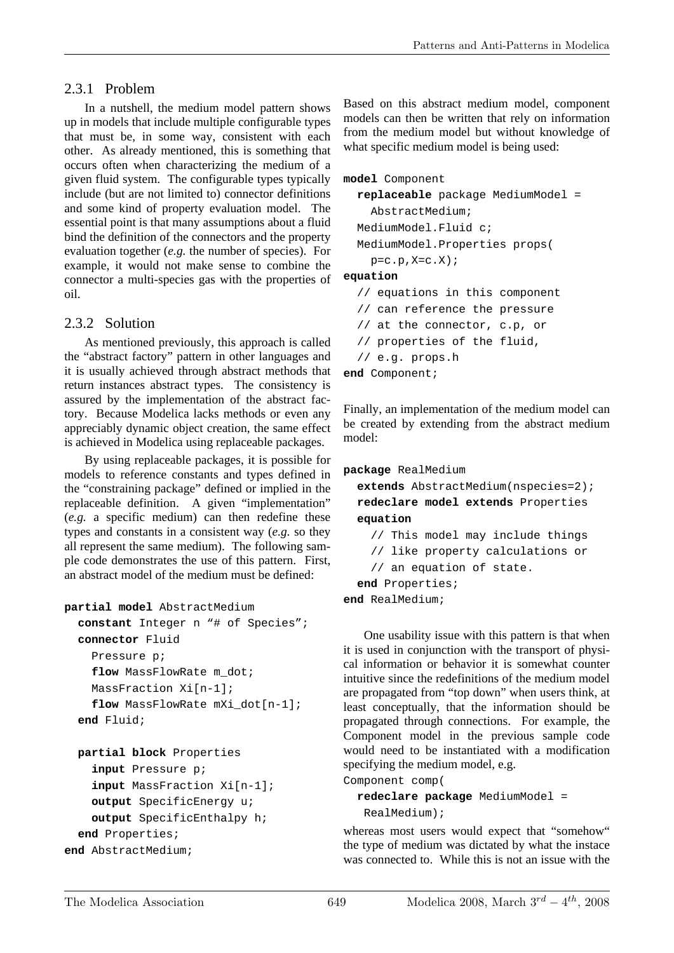### 2.3.1 Problem

In a nutshell, the medium model pattern shows up in models that include multiple configurable types that must be, in some way, consistent with each other. As already mentioned, this is something that occurs often when characterizing the medium of a given fluid system. The configurable types typically include (but are not limited to) connector definitions and some kind of property evaluation model. The essential point is that many assumptions about a fluid bind the definition of the connectors and the property evaluation together (*e.g.* the number of species). For example, it would not make sense to combine the connector a multi-species gas with the properties of oil.

### 2.3.2 Solution

As mentioned previously, this approach is called the "abstract factory" pattern in other languages and it is usually achieved through abstract methods that return instances abstract types. The consistency is assured by the implementation of the abstract factory. Because Modelica lacks methods or even any appreciably dynamic object creation, the same effect is achieved in Modelica using replaceable packages.

By using replaceable packages, it is possible for models to reference constants and types defined in the "constraining package" defined or implied in the replaceable definition. A given "implementation" (*e.g.* a specific medium) can then redefine these types and constants in a consistent way (*e.g.* so they all represent the same medium). The following sample code demonstrates the use of this pattern. First, an abstract model of the medium must be defined:

```
partial model AbstractMedium
```

```
 constant Integer n "# of Species"; 
 connector Fluid 
   Pressure p; 
   flow MassFlowRate m_dot; 
   MassFraction Xi[n-1]; 
  flow MassFlowRate mXi dot[n-1];
 end Fluid;
```

```
 partial block Properties 
     input Pressure p; 
     input MassFraction Xi[n-1]; 
     output SpecificEnergy u; 
     output SpecificEnthalpy h; 
   end Properties; 
end AbstractMedium;
```
Based on this abstract medium model, component models can then be written that rely on information from the medium model but without knowledge of what specific medium model is being used:

#### **model** Component

```
replaceable package MediumModel =
```

```
 AbstractMedium; 
 MediumModel.Fluid c;
```
MediumModel.Properties props(

 $p=c.p, X=c.X;$ 

#### **equation**

```
// equations in this component
```

```
// can reference the pressure
```

```
// at the connector, c.p, or
```

```
// properties of the fluid,
```

```
// e.g. props.h
```

```
end Component;
```
Finally, an implementation of the medium model can be created by extending from the abstract medium model:

```
package RealMedium
```

```
 extends AbstractMedium(nspecies=2);
```
 **redeclare model extends** Properties **equation** 

```
 // This model may include things
```

```
 // like property calculations or
```

```
 // an equation of state.
```

```
end Properties;
```
**end** RealMedium;

One usability issue with this pattern is that when it is used in conjunction with the transport of physical information or behavior it is somewhat counter intuitive since the redefinitions of the medium model are propagated from "top down" when users think, at least conceptually, that the information should be propagated through connections. For example, the Component model in the previous sample code would need to be instantiated with a modification specifying the medium model, e.g.

Component comp(

#### **redeclare package** MediumModel =

RealMedium);

whereas most users would expect that "somehow" the type of medium was dictated by what the instace was connected to. While this is not an issue with the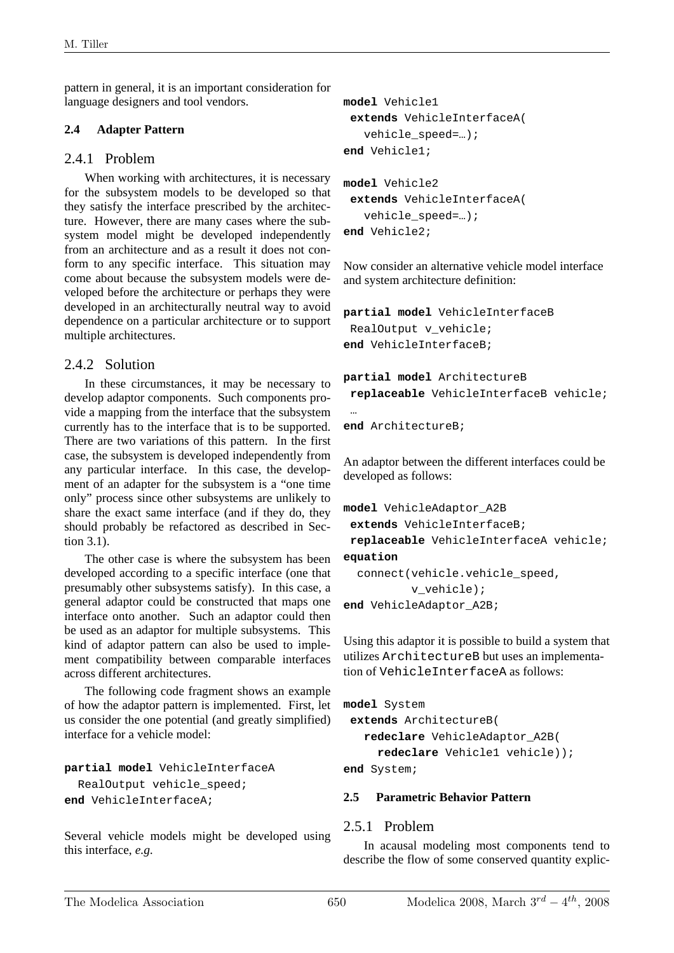pattern in general, it is an important consideration for language designers and tool vendors.

#### **2.4 Adapter Pattern**

#### 2.4.1 Problem

When working with architectures, it is necessary for the subsystem models to be developed so that they satisfy the interface prescribed by the architecture. However, there are many cases where the subsystem model might be developed independently from an architecture and as a result it does not conform to any specific interface. This situation may come about because the subsystem models were developed before the architecture or perhaps they were developed in an architecturally neutral way to avoid dependence on a particular architecture or to support multiple architectures.

### 2.4.2 Solution

In these circumstances, it may be necessary to develop adaptor components. Such components provide a mapping from the interface that the subsystem currently has to the interface that is to be supported. There are two variations of this pattern. In the first case, the subsystem is developed independently from any particular interface. In this case, the development of an adapter for the subsystem is a "one time only" process since other subsystems are unlikely to share the exact same interface (and if they do, they should probably be refactored as described in Section 3.1).

The other case is where the subsystem has been developed according to a specific interface (one that presumably other subsystems satisfy). In this case, a general adaptor could be constructed that maps one interface onto another. Such an adaptor could then be used as an adaptor for multiple subsystems. This kind of adaptor pattern can also be used to implement compatibility between comparable interfaces across different architectures.

The following code fragment shows an example of how the adaptor pattern is implemented. First, let us consider the one potential (and greatly simplified) interface for a vehicle model:

```
partial model VehicleInterfaceA 
   RealOutput vehicle_speed; 
end VehicleInterfaceA;
```
Several vehicle models might be developed using this interface, *e.g.*

```
model Vehicle1 
 extends VehicleInterfaceA( 
    vehicle_speed=…); 
end Vehicle1; 
model Vehicle2 
 extends VehicleInterfaceA( 
    vehicle_speed=…); 
end Vehicle2;
```
Now consider an alternative vehicle model interface and system architecture definition:

```
partial model VehicleInterfaceB 
RealOutput v vehicle;
end VehicleInterfaceB;
```

```
partial model ArchitectureB 
 replaceable VehicleInterfaceB vehicle; 
 … 
end ArchitectureB;
```
An adaptor between the different interfaces could be developed as follows:

```
model VehicleAdaptor_A2B 
 extends VehicleInterfaceB; 
 replaceable VehicleInterfaceA vehicle; 
equation 
  connect(vehicle.vehicle_speed, 
          v vehicle);
end VehicleAdaptor_A2B;
```
Using this adaptor it is possible to build a system that utilizes ArchitectureB but uses an implementation of VehicleInterfaceA as follows:

```
model System 
 extends ArchitectureB( 
    redeclare VehicleAdaptor_A2B( 
      redeclare Vehicle1 vehicle)); 
end System;
```
#### **2.5 Parametric Behavior Pattern**

#### 2.5.1 Problem

In acausal modeling most components tend to describe the flow of some conserved quantity explic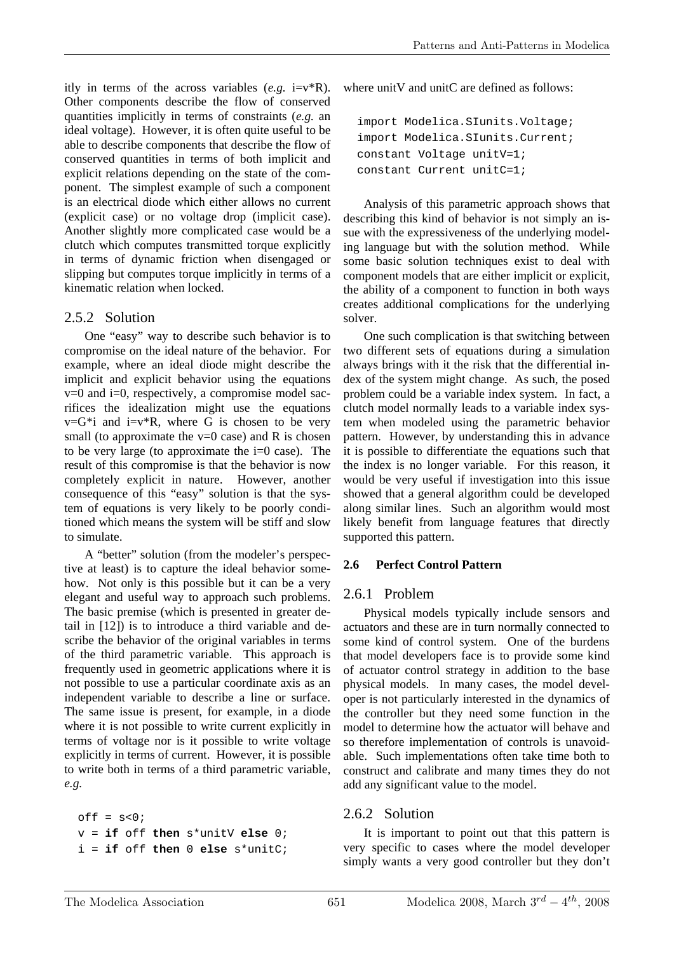itly in terms of the across variables  $(e.g. i=v^*R)$ . Other components describe the flow of conserved quantities implicitly in terms of constraints (*e.g.* an ideal voltage). However, it is often quite useful to be able to describe components that describe the flow of conserved quantities in terms of both implicit and explicit relations depending on the state of the component. The simplest example of such a component is an electrical diode which either allows no current (explicit case) or no voltage drop (implicit case). Another slightly more complicated case would be a clutch which computes transmitted torque explicitly in terms of dynamic friction when disengaged or slipping but computes torque implicitly in terms of a kinematic relation when locked.

#### 2.5.2 Solution

One "easy" way to describe such behavior is to compromise on the ideal nature of the behavior. For example, where an ideal diode might describe the implicit and explicit behavior using the equations  $v=0$  and  $i=0$ , respectively, a compromise model sacrifices the idealization might use the equations  $v=G^*i$  and  $i=v^*R$ , where G is chosen to be very small (to approximate the  $v=0$  case) and R is chosen to be very large (to approximate the  $i=0$  case). The result of this compromise is that the behavior is now completely explicit in nature. However, another consequence of this "easy" solution is that the system of equations is very likely to be poorly conditioned which means the system will be stiff and slow to simulate.

A "better" solution (from the modeler's perspective at least) is to capture the ideal behavior somehow. Not only is this possible but it can be a very elegant and useful way to approach such problems. The basic premise (which is presented in greater detail in [12]) is to introduce a third variable and describe the behavior of the original variables in terms of the third parametric variable. This approach is frequently used in geometric applications where it is not possible to use a particular coordinate axis as an independent variable to describe a line or surface. The same issue is present, for example, in a diode where it is not possible to write current explicitly in terms of voltage nor is it possible to write voltage explicitly in terms of current. However, it is possible to write both in terms of a third parametric variable, *e.g.* 

 $off = s<0;$  v = **if** off **then** s\*unitV **else** 0; i = **if** off **then** 0 **else** s\*unitC; where unit V and unit C are defined as follows:

```
import Modelica.SIunits.Voltage; 
import Modelica.SIunits.Current; 
constant Voltage unitV=1; 
constant Current unitC=1;
```
Analysis of this parametric approach shows that describing this kind of behavior is not simply an issue with the expressiveness of the underlying modeling language but with the solution method. While some basic solution techniques exist to deal with component models that are either implicit or explicit, the ability of a component to function in both ways creates additional complications for the underlying solver.

One such complication is that switching between two different sets of equations during a simulation always brings with it the risk that the differential index of the system might change. As such, the posed problem could be a variable index system. In fact, a clutch model normally leads to a variable index system when modeled using the parametric behavior pattern. However, by understanding this in advance it is possible to differentiate the equations such that the index is no longer variable. For this reason, it would be very useful if investigation into this issue showed that a general algorithm could be developed along similar lines. Such an algorithm would most likely benefit from language features that directly supported this pattern.

#### **2.6 Perfect Control Pattern**

#### 2.6.1 Problem

Physical models typically include sensors and actuators and these are in turn normally connected to some kind of control system. One of the burdens that model developers face is to provide some kind of actuator control strategy in addition to the base physical models. In many cases, the model developer is not particularly interested in the dynamics of the controller but they need some function in the model to determine how the actuator will behave and so therefore implementation of controls is unavoidable. Such implementations often take time both to construct and calibrate and many times they do not add any significant value to the model.

#### 2.6.2 Solution

It is important to point out that this pattern is very specific to cases where the model developer simply wants a very good controller but they don't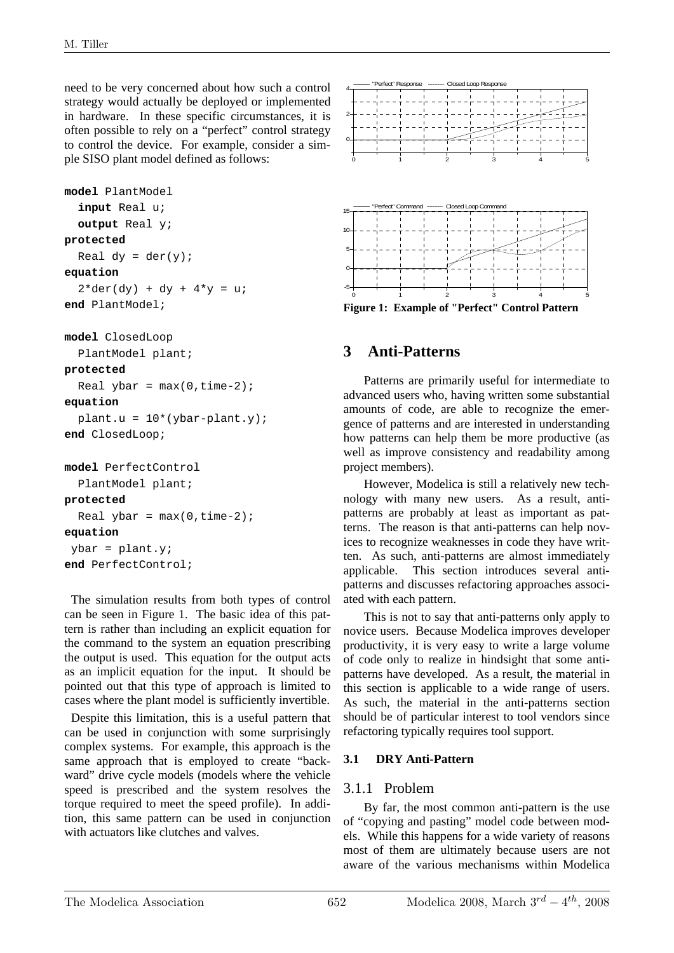need to be very concerned about how such a control strategy would actually be deployed or implemented in hardware. In these specific circumstances, it is often possible to rely on a "perfect" control strategy to control the device. For example, consider a simple SISO plant model defined as follows:

```
model PlantModel 
   input Real u; 
   output Real y; 
protected 
  Real dy = der(y);
equation 
  2*der(dy) + dy + 4*y = u;end PlantModel;
```

```
model ClosedLoop
```

```
 PlantModel plant;
```
#### **protected**

```
Real ybar = max(0, time-2);
equation
```

```
plant.u = 10*(ybar-plant.y);
```

```
end ClosedLoop;
```

```
model PerfectControl 
   PlantModel plant; 
protected 
  Real ybar = max(0, time-2);
```

```
equation
```

```
ybar = plant.y;
end PerfectControl;
```
The simulation results from both types of control can be seen in Figure 1. The basic idea of this pattern is rather than including an explicit equation for the command to the system an equation prescribing the output is used. This equation for the output acts as an implicit equation for the input. It should be pointed out that this type of approach is limited to cases where the plant model is sufficiently invertible.

Despite this limitation, this is a useful pattern that can be used in conjunction with some surprisingly complex systems. For example, this approach is the same approach that is employed to create "backward" drive cycle models (models where the vehicle speed is prescribed and the system resolves the torque required to meet the speed profile). In addition, this same pattern can be used in conjunction with actuators like clutches and valves.



**Figure 1: Example of "Perfect" Control Pattern** 

## **3 Anti-Patterns**

Patterns are primarily useful for intermediate to advanced users who, having written some substantial amounts of code, are able to recognize the emergence of patterns and are interested in understanding how patterns can help them be more productive (as well as improve consistency and readability among project members).

However, Modelica is still a relatively new technology with many new users. As a result, antipatterns are probably at least as important as patterns. The reason is that anti-patterns can help novices to recognize weaknesses in code they have written. As such, anti-patterns are almost immediately applicable. This section introduces several antipatterns and discusses refactoring approaches associated with each pattern.

This is not to say that anti-patterns only apply to novice users. Because Modelica improves developer productivity, it is very easy to write a large volume of code only to realize in hindsight that some antipatterns have developed. As a result, the material in this section is applicable to a wide range of users. As such, the material in the anti-patterns section should be of particular interest to tool vendors since refactoring typically requires tool support.

### **3.1 DRY Anti-Pattern**

### 3.1.1 Problem

By far, the most common anti-pattern is the use of "copying and pasting" model code between models. While this happens for a wide variety of reasons most of them are ultimately because users are not aware of the various mechanisms within Modelica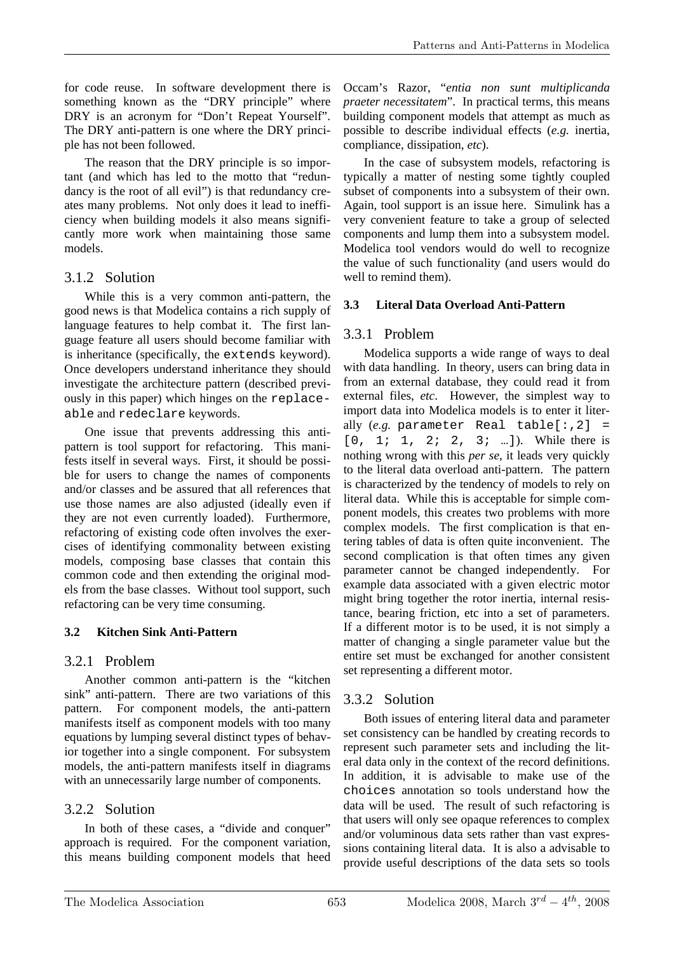for code reuse. In software development there is something known as the "DRY principle" where DRY is an acronym for "Don't Repeat Yourself". The DRY anti-pattern is one where the DRY principle has not been followed.

The reason that the DRY principle is so important (and which has led to the motto that "redundancy is the root of all evil") is that redundancy creates many problems. Not only does it lead to inefficiency when building models it also means significantly more work when maintaining those same models.

## 3.1.2 Solution

While this is a very common anti-pattern, the good news is that Modelica contains a rich supply of language features to help combat it. The first language feature all users should become familiar with is inheritance (specifically, the extends keyword). Once developers understand inheritance they should investigate the architecture pattern (described previously in this paper) which hinges on the replaceable and redeclare keywords.

One issue that prevents addressing this antipattern is tool support for refactoring. This manifests itself in several ways. First, it should be possible for users to change the names of components and/or classes and be assured that all references that use those names are also adjusted (ideally even if they are not even currently loaded). Furthermore, refactoring of existing code often involves the exercises of identifying commonality between existing models, composing base classes that contain this common code and then extending the original models from the base classes. Without tool support, such refactoring can be very time consuming.

## **3.2 Kitchen Sink Anti-Pattern**

## 3.2.1 Problem

Another common anti-pattern is the "kitchen sink" anti-pattern. There are two variations of this pattern. For component models, the anti-pattern manifests itself as component models with too many equations by lumping several distinct types of behavior together into a single component. For subsystem models, the anti-pattern manifests itself in diagrams with an unnecessarily large number of components.

## 3.2.2 Solution

In both of these cases, a "divide and conquer" approach is required. For the component variation, this means building component models that heed

Occam's Razor, "*entia non sunt multiplicanda praeter necessitatem*". In practical terms, this means building component models that attempt as much as possible to describe individual effects (*e.g.* inertia, compliance, dissipation, *etc*).

In the case of subsystem models, refactoring is typically a matter of nesting some tightly coupled subset of components into a subsystem of their own. Again, tool support is an issue here. Simulink has a very convenient feature to take a group of selected components and lump them into a subsystem model. Modelica tool vendors would do well to recognize the value of such functionality (and users would do well to remind them).

## **3.3 Literal Data Overload Anti-Pattern**

## 3.3.1 Problem

Modelica supports a wide range of ways to deal with data handling. In theory, users can bring data in from an external database, they could read it from external files, *etc*. However, the simplest way to import data into Modelica models is to enter it literally  $(e.g.$  parameter Real table $[:, 2] =$  $[0, 1; 1, 2; 2, 3; ...]$ ). While there is nothing wrong with this *per se*, it leads very quickly to the literal data overload anti-pattern. The pattern is characterized by the tendency of models to rely on literal data. While this is acceptable for simple component models, this creates two problems with more complex models. The first complication is that entering tables of data is often quite inconvenient. The second complication is that often times any given parameter cannot be changed independently. For example data associated with a given electric motor might bring together the rotor inertia, internal resistance, bearing friction, etc into a set of parameters. If a different motor is to be used, it is not simply a matter of changing a single parameter value but the entire set must be exchanged for another consistent set representing a different motor.

## 3.3.2 Solution

Both issues of entering literal data and parameter set consistency can be handled by creating records to represent such parameter sets and including the literal data only in the context of the record definitions. In addition, it is advisable to make use of the choices annotation so tools understand how the data will be used. The result of such refactoring is that users will only see opaque references to complex and/or voluminous data sets rather than vast expressions containing literal data. It is also a advisable to provide useful descriptions of the data sets so tools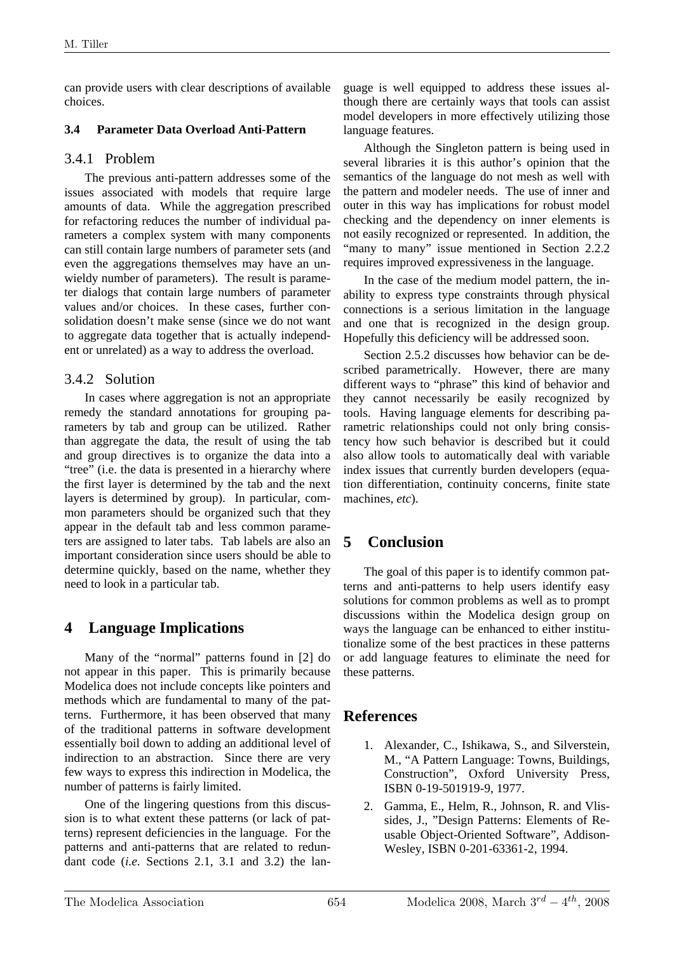can provide users with clear descriptions of available choices.

#### **3.4 Parameter Data Overload Anti-Pattern**

#### 3.4.1 Problem

The previous anti-pattern addresses some of the issues associated with models that require large amounts of data. While the aggregation prescribed for refactoring reduces the number of individual parameters a complex system with many components can still contain large numbers of parameter sets (and even the aggregations themselves may have an unwieldy number of parameters). The result is parameter dialogs that contain large numbers of parameter values and/or choices. In these cases, further consolidation doesn't make sense (since we do not want to aggregate data together that is actually independent or unrelated) as a way to address the overload.

### 3.4.2 Solution

In cases where aggregation is not an appropriate remedy the standard annotations for grouping parameters by tab and group can be utilized. Rather than aggregate the data, the result of using the tab and group directives is to organize the data into a "tree" (i.e. the data is presented in a hierarchy where the first layer is determined by the tab and the next layers is determined by group). In particular, common parameters should be organized such that they appear in the default tab and less common parameters are assigned to later tabs. Tab labels are also an important consideration since users should be able to determine quickly, based on the name, whether they need to look in a particular tab.

## **4 Language Implications**

Many of the "normal" patterns found in [2] do not appear in this paper. This is primarily because Modelica does not include concepts like pointers and methods which are fundamental to many of the patterns. Furthermore, it has been observed that many of the traditional patterns in software development essentially boil down to adding an additional level of indirection to an abstraction. Since there are very few ways to express this indirection in Modelica, the number of patterns is fairly limited.

One of the lingering questions from this discussion is to what extent these patterns (or lack of patterns) represent deficiencies in the language. For the patterns and anti-patterns that are related to redundant code (*i.e.* Sections 2.1, 3.1 and 3.2) the language is well equipped to address these issues although there are certainly ways that tools can assist model developers in more effectively utilizing those language features.

Although the Singleton pattern is being used in several libraries it is this author's opinion that the semantics of the language do not mesh as well with the pattern and modeler needs. The use of inner and outer in this way has implications for robust model checking and the dependency on inner elements is not easily recognized or represented. In addition, the "many to many" issue mentioned in Section 2.2.2 requires improved expressiveness in the language.

In the case of the medium model pattern, the inability to express type constraints through physical connections is a serious limitation in the language and one that is recognized in the design group. Hopefully this deficiency will be addressed soon.

Section 2.5.2 discusses how behavior can be described parametrically. However, there are many different ways to "phrase" this kind of behavior and they cannot necessarily be easily recognized by tools. Having language elements for describing parametric relationships could not only bring consistency how such behavior is described but it could also allow tools to automatically deal with variable index issues that currently burden developers (equation differentiation, continuity concerns, finite state machines, *etc*).

## **5 Conclusion**

The goal of this paper is to identify common patterns and anti-patterns to help users identify easy solutions for common problems as well as to prompt discussions within the Modelica design group on ways the language can be enhanced to either institutionalize some of the best practices in these patterns or add language features to eliminate the need for these patterns.

## **References**

- 1. Alexander, C., Ishikawa, S., and Silverstein, M., "A Pattern Language: Towns, Buildings, Construction", Oxford University Press, ISBN 0-19-501919-9, 1977.
- 2. Gamma, E., Helm, R., Johnson, R. and Vlissides, J., "Design Patterns: Elements of Reusable Object-Oriented Software", Addison-Wesley, ISBN 0-201-63361-2, 1994.